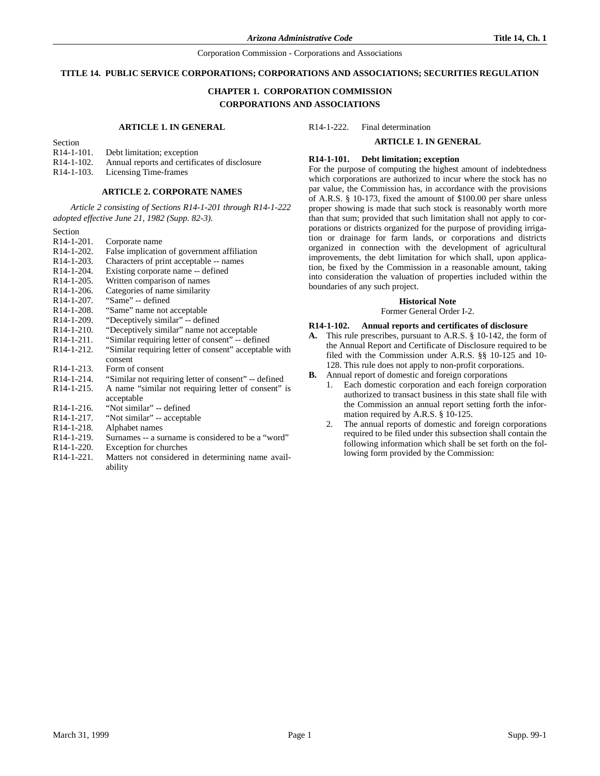#### **TITLE 14. PUBLIC SERVICE CORPORATIONS; CORPORATIONS AND ASSOCIATIONS; SECURITIES REGULATION**

# **CHAPTER 1. CORPORATION COMMISSION CORPORATIONS AND ASSOCIATIONS**

#### **ARTICLE 1. IN GENERAL**

Section<br> $R14-1-101$ . Debt limitation; exception  $R14-1-102$ . Annual reports and certificates of disclosure  $R14-1-103$ . Licensing Time-frames

Licensing Time-frames

#### **ARTICLE 2. CORPORATE NAMES**

*Article 2 consisting of Sections R14-1-201 through R14-1-222 adopted effective June 21, 1982 (Supp. 82-3).*

Section<br>R14-1-201. R14-1-201. Corporate name<br>R14-1-202. False implication False implication of government affiliation R14-1-203. Characters of print acceptable -- names R14-1-204. Existing corporate name -- defined<br>R14-1-205. Written comparison of names R14-1-205. Written comparison of names<br>R14-1-206. Categories of name similarity R14-1-206. Categories of name similarity<br>R14-1-207. "Same" -- defined R14-1-207. "Same" -- defined R14-1-208. "Same" name not acceptable R14-1-209. "Deceptively similar" -- defined<br>R14-1-210. "Deceptively similar" name not "Deceptively similar" name not acceptable R14-1-211. "Similar requiring letter of consent" -- defined R14-1-212. "Similar requiring letter of consent" acceptable with consent R14-1-213. Form of consent R14-1-214. "Similar not requiring letter of consent" -- defined<br>R14-1-215. A name "similar not requiring letter of consent" A name "similar not requiring letter of consent" is acceptable R14-1-216. "Not similar" -- defined<br>R14-1-217. "Not similar" -- acceptal R14-1-217. "Not similar" -- acceptable<br>R14-1-218. Alphabet names Alphabet names R14-1-219. Surnames -- a surname is considered to be a "word" R14-1-220. Exception for churches<br>R14-1-221. Matters not considered

Matters not considered in determining name availability

R14-1-222. Final determination

# **ARTICLE 1. IN GENERAL**

#### **R14-1-101. Debt limitation; exception**

For the purpose of computing the highest amount of indebtedness which corporations are authorized to incur where the stock has no par value, the Commission has, in accordance with the provisions of A.R.S. § 10-173, fixed the amount of \$100.00 per share unless proper showing is made that such stock is reasonably worth more than that sum; provided that such limitation shall not apply to corporations or districts organized for the purpose of providing irrigation or drainage for farm lands, or corporations and districts organized in connection with the development of agricultural improvements, the debt limitation for which shall, upon application, be fixed by the Commission in a reasonable amount, taking into consideration the valuation of properties included within the boundaries of any such project.

#### **Historical Note**

Former General Order I-2.

#### **R14-1-102. Annual reports and certificates of disclosure**

- **A.** This rule prescribes, pursuant to A.R.S. § 10-142, the form of the Annual Report and Certificate of Disclosure required to be filed with the Commission under A.R.S. §§ 10-125 and 10- 128. This rule does not apply to non-profit corporations.
- **B.** Annual report of domestic and foreign corporations
	- 1. Each domestic corporation and each foreign corporation authorized to transact business in this state shall file with the Commission an annual report setting forth the information required by A.R.S. § 10-125.
	- 2. The annual reports of domestic and foreign corporations required to be filed under this subsection shall contain the following information which shall be set forth on the following form provided by the Commission: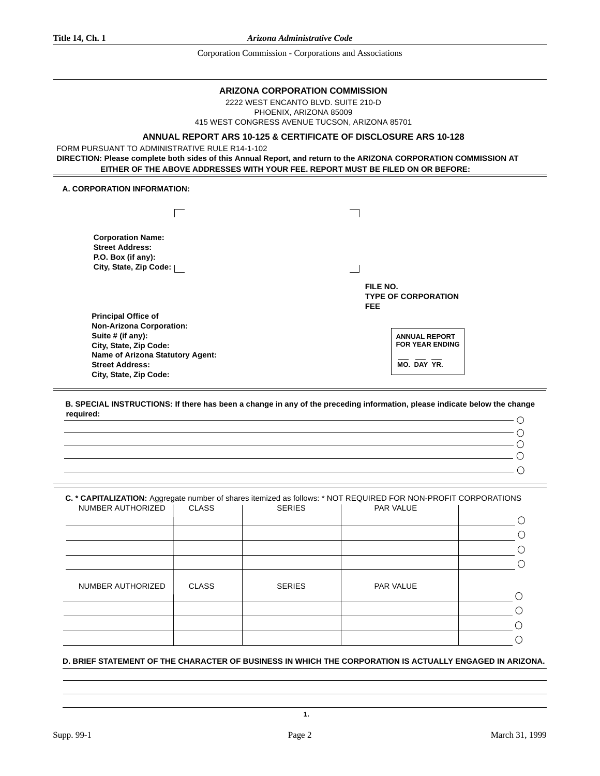### **ARIZONA CORPORATION COMMISSION**

2222 WEST ENCANTO BLVD. SUITE 210-D PHOENIX, ARIZONA 85009 415 WEST CONGRESS AVENUE TUCSON, ARIZONA 85701

# **ANNUAL REPORT ARS 10-125 & CERTIFICATE OF DISCLOSURE ARS 10-128**

FORM PURSUANT TO ADMINISTRATIVE RULE R14-1-102

**DIRECTION: Please complete both sides of this Annual Report, and return to the ARIZONA CORPORATION COMMISSION AT EITHER OF THE ABOVE ADDRESSES WITH YOUR FEE. REPORT MUST BE FILED ON OR BEFORE:**

# **A. CORPORATION INFORMATION:**

| <b>Corporation Name:</b><br><b>Street Address:</b><br>P.O. Box (if any):<br>City, State, Zip Code:                                                                            |                 |                                                               |
|-------------------------------------------------------------------------------------------------------------------------------------------------------------------------------|-----------------|---------------------------------------------------------------|
|                                                                                                                                                                               | FILE NO.<br>FEE | <b>TYPE OF CORPORATION</b>                                    |
| <b>Principal Office of</b>                                                                                                                                                    |                 |                                                               |
| <b>Non-Arizona Corporation:</b><br>Suite # (if any):<br>City, State, Zip Code:<br><b>Name of Arizona Statutory Agent:</b><br><b>Street Address:</b><br>City, State, Zip Code: |                 | <b>ANNUAL REPORT</b><br><b>FOR YEAR ENDING</b><br>MO. DAY YR. |

**B. SPECIAL INSTRUCTIONS: If there has been a change in any of the preceding information, please indicate below the change required:**

| $\overline{\phantom{a}}$ ( )                                                                                                                                                                                                                                                                                                                                                                                                                                                    |  |
|---------------------------------------------------------------------------------------------------------------------------------------------------------------------------------------------------------------------------------------------------------------------------------------------------------------------------------------------------------------------------------------------------------------------------------------------------------------------------------|--|
| $\overline{a}$ . The contract of the contract of the contract of the contract of the contract of the contract of the contract of the contract of the contract of the contract of the contract of the contract of the contract of th                                                                                                                                                                                                                                             |  |
|                                                                                                                                                                                                                                                                                                                                                                                                                                                                                 |  |
| $\overline{\phantom{a}}$ 0                                                                                                                                                                                                                                                                                                                                                                                                                                                      |  |
| $\sim$ 0 $\sim$ 0 $\sim$ 0 $\sim$ 0 $\sim$ 0 $\sim$ 0 $\sim$ 0 $\sim$ 0 $\sim$ 0 $\sim$ 0 $\sim$ 0 $\sim$ 0 $\sim$ 0 $\sim$ 0 $\sim$ 0 $\sim$ 0 $\sim$ 0 $\sim$ 0 $\sim$ 0 $\sim$ 0 $\sim$ 0 $\sim$ 0 $\sim$ 0 $\sim$ 0 $\sim$ 0 $\sim$ 0 $\sim$ 0 $\sim$ 0 $\sim$ 0 $\sim$ 0 $\sim$ 0 $\sim$                                                                                                                                                                                   |  |
|                                                                                                                                                                                                                                                                                                                                                                                                                                                                                 |  |
| $\overline{\phantom{a}}$ $\overline{\phantom{a}}$ $\overline{\phantom{a}}$ $\overline{\phantom{a}}$ $\overline{\phantom{a}}$ $\overline{\phantom{a}}$ $\overline{\phantom{a}}$ $\overline{\phantom{a}}$ $\overline{\phantom{a}}$ $\overline{\phantom{a}}$ $\overline{\phantom{a}}$ $\overline{\phantom{a}}$ $\overline{\phantom{a}}$ $\overline{\phantom{a}}$ $\overline{\phantom{a}}$ $\overline{\phantom{a}}$ $\overline{\phantom{a}}$ $\overline{\phantom{a}}$ $\overline{\$ |  |
|                                                                                                                                                                                                                                                                                                                                                                                                                                                                                 |  |

| C. * CAPITALIZATION: Aggregate number of shares itemized as follows: * NOT REQUIRED FOR NON-PROFIT CORPORATIONS |              |               |                  |  |
|-----------------------------------------------------------------------------------------------------------------|--------------|---------------|------------------|--|
| NUMBER AUTHORIZED                                                                                               | <b>CLASS</b> | <b>SERIES</b> | <b>PAR VALUE</b> |  |
|                                                                                                                 |              |               |                  |  |
|                                                                                                                 |              |               |                  |  |
|                                                                                                                 |              |               |                  |  |
|                                                                                                                 |              |               |                  |  |
| NUMBER AUTHORIZED                                                                                               | <b>CLASS</b> | <b>SERIES</b> | PAR VALUE        |  |
|                                                                                                                 |              |               |                  |  |
|                                                                                                                 |              |               |                  |  |
|                                                                                                                 |              |               |                  |  |
|                                                                                                                 |              |               |                  |  |

# **D. BRIEF STATEMENT OF THE CHARACTER OF BUSINESS IN WHICH THE CORPORATION IS ACTUALLY ENGAGED IN ARIZONA.**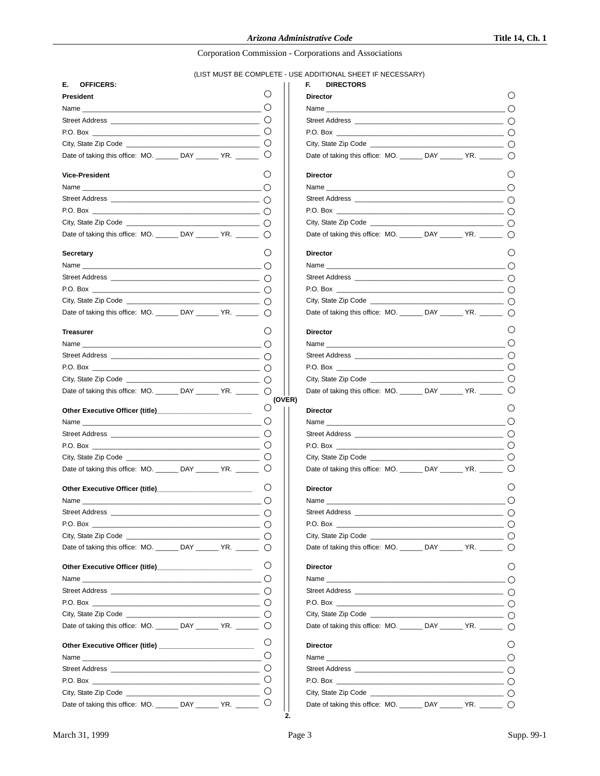# (LIST MUST BE COMPLETE - USE ADDITIONAL SHEET IF NECESSARY)

| Е.<br><b>OFFICERS:</b>                                           |                                                   |                  | F.<br><b>DIRECTORS</b>                                                                                                                                                                                                              |  |
|------------------------------------------------------------------|---------------------------------------------------|------------------|-------------------------------------------------------------------------------------------------------------------------------------------------------------------------------------------------------------------------------------|--|
| President                                                        |                                                   | ()               | <b>Director</b>                                                                                                                                                                                                                     |  |
|                                                                  |                                                   | $\bigcirc$       |                                                                                                                                                                                                                                     |  |
|                                                                  |                                                   |                  |                                                                                                                                                                                                                                     |  |
|                                                                  |                                                   |                  |                                                                                                                                                                                                                                     |  |
|                                                                  |                                                   |                  |                                                                                                                                                                                                                                     |  |
| Date of taking this office: MO. _______ DAY _______ YR. ______ O |                                                   |                  | Date of taking this office: MO. ________ DAY _______ YR. ______                                                                                                                                                                     |  |
| <b>Vice-President</b>                                            |                                                   | O                | <b>Director</b>                                                                                                                                                                                                                     |  |
| Name and $\bigcap$                                               |                                                   |                  | Name was a structured by the contract of the contract of the contract of the contract of the contract of the contract of the contract of the contract of the contract of the contract of the contract of the contract of the c      |  |
|                                                                  |                                                   |                  |                                                                                                                                                                                                                                     |  |
| $P.O. Box$ $\qquad \qquad \qquad$                                |                                                   |                  | P.O. Box                                                                                                                                                                                                                            |  |
| City, State Zip Code $\qquad \qquad \qquad \qquad \bigcap$       |                                                   |                  |                                                                                                                                                                                                                                     |  |
| Date of taking this office: MO. ______ DAY ______ YR. _____ ()   |                                                   |                  | Date of taking this office: MO. ______ DAY ______ YR. _____                                                                                                                                                                         |  |
| Secretary                                                        |                                                   | $\circ$          | <b>Director</b>                                                                                                                                                                                                                     |  |
|                                                                  |                                                   |                  |                                                                                                                                                                                                                                     |  |
|                                                                  |                                                   |                  |                                                                                                                                                                                                                                     |  |
|                                                                  |                                                   |                  |                                                                                                                                                                                                                                     |  |
|                                                                  |                                                   |                  |                                                                                                                                                                                                                                     |  |
| Date of taking this office: MO. ______ DAY ______ YR. _____ ()   |                                                   |                  | Date of taking this office: MO. ______ DAY ______ YR. _____                                                                                                                                                                         |  |
| <b>Treasurer</b>                                                 |                                                   | $\left( \right)$ | <b>Director</b>                                                                                                                                                                                                                     |  |
|                                                                  |                                                   | ∩                |                                                                                                                                                                                                                                     |  |
|                                                                  |                                                   |                  |                                                                                                                                                                                                                                     |  |
|                                                                  |                                                   |                  |                                                                                                                                                                                                                                     |  |
|                                                                  |                                                   |                  |                                                                                                                                                                                                                                     |  |
| Date of taking this office: MO. ______ DAY ______ YR. _____ O    |                                                   | (OVER)           | Date of taking this office: MO. _______ DAY ______ YR. ______                                                                                                                                                                       |  |
|                                                                  |                                                   | $\bigcirc$       | <b>Director</b>                                                                                                                                                                                                                     |  |
|                                                                  |                                                   |                  | Name and the contract of the contract of the contract of the contract of the contract of the contract of the contract of the contract of the contract of the contract of the contract of the contract of the contract of the c      |  |
|                                                                  |                                                   |                  | Street Address and the state of the state of the state of the state of the state of the state of the state of the state of the state of the state of the state of the state of the state of the state of the state of the stat      |  |
|                                                                  |                                                   |                  |                                                                                                                                                                                                                                     |  |
|                                                                  |                                                   |                  | City, State Zip Code <b>Example 2</b> and 2 and 2 and 2 and 2 and 2 and 2 and 2 and 2 and 2 and 2 and 2 and 2 and 2 and 2 and 2 and 2 and 2 and 2 and 2 and 2 and 2 and 2 and 2 and 2 and 2 and 2 and 2 and 2 and 2 and 2 and 2 and |  |
| Date of taking this office: MO. ______ DAY ______ YR. _____      |                                                   | $\cup$           | Date of taking this office: MO. ______ DAY ______ YR. _____                                                                                                                                                                         |  |
| Other Executive Officer (title)_____________________________     |                                                   | $\left( \right)$ | <b>Director</b>                                                                                                                                                                                                                     |  |
|                                                                  |                                                   |                  |                                                                                                                                                                                                                                     |  |
| Street Address _____                                             | $\overline{\phantom{a}}$ $\overline{\phantom{a}}$ |                  | Street Address __________                                                                                                                                                                                                           |  |
|                                                                  |                                                   |                  |                                                                                                                                                                                                                                     |  |
|                                                                  |                                                   |                  |                                                                                                                                                                                                                                     |  |
| Date of taking this office: MO. ______ DAY ______ YR. _____ O    |                                                   |                  | Date of taking this office: MO. ______ DAY ______ YR. _____                                                                                                                                                                         |  |
|                                                                  |                                                   | $\circ$          | <b>Director</b>                                                                                                                                                                                                                     |  |
|                                                                  |                                                   |                  |                                                                                                                                                                                                                                     |  |
|                                                                  |                                                   |                  |                                                                                                                                                                                                                                     |  |
|                                                                  |                                                   |                  |                                                                                                                                                                                                                                     |  |
|                                                                  |                                                   |                  |                                                                                                                                                                                                                                     |  |
| Date of taking this office: MO. ______ DAY ______ YR. _____ ()   |                                                   |                  | Date of taking this office: MO. ______ DAY ______ YR. _____                                                                                                                                                                         |  |
|                                                                  |                                                   | $\circ$          | <b>Director</b>                                                                                                                                                                                                                     |  |
| Name                                                             |                                                   | $\circ$          | Name with a state of the contract of the contract of the contract of the contract of the contract of the contract of the contract of the contract of the contract of the contract of the contract of the contract of the contr      |  |
|                                                                  |                                                   | $\circ$          |                                                                                                                                                                                                                                     |  |
|                                                                  |                                                   | $\circ$          |                                                                                                                                                                                                                                     |  |
|                                                                  |                                                   | $\circ$          |                                                                                                                                                                                                                                     |  |
| Date of taking this office: MO. ______ DAY ______ YR. _____      |                                                   | $\circ$          | Date of taking this office: MO. ______ DAY ______ YR. _____                                                                                                                                                                         |  |

| <b>DIRECTORS</b>                                                                                                                                                                                                                                                      |  |  |
|-----------------------------------------------------------------------------------------------------------------------------------------------------------------------------------------------------------------------------------------------------------------------|--|--|
| <b>Director</b>                                                                                                                                                                                                                                                       |  |  |
|                                                                                                                                                                                                                                                                       |  |  |
|                                                                                                                                                                                                                                                                       |  |  |
|                                                                                                                                                                                                                                                                       |  |  |
|                                                                                                                                                                                                                                                                       |  |  |
| Date of taking this office: MO. ______ DAY ______ YR. _____ O                                                                                                                                                                                                         |  |  |
| <b>Director</b>                                                                                                                                                                                                                                                       |  |  |
|                                                                                                                                                                                                                                                                       |  |  |
|                                                                                                                                                                                                                                                                       |  |  |
|                                                                                                                                                                                                                                                                       |  |  |
|                                                                                                                                                                                                                                                                       |  |  |
| Date of taking this office: MO. _______ DAY ______ YR. ______ ()                                                                                                                                                                                                      |  |  |
| <b>Director</b>                                                                                                                                                                                                                                                       |  |  |
| Name _____<br>$\overline{\phantom{a}}$ . The contract of the contract of the contract of $\overline{\phantom{a}}$ . The contract of the contract of the contract of the contract of the contract of the contract of the contract of the contract of the contract of t |  |  |
|                                                                                                                                                                                                                                                                       |  |  |
| P.O. Box                                                                                                                                                                                                                                                              |  |  |
|                                                                                                                                                                                                                                                                       |  |  |
| Date of taking this office: MO. _______ DAY ______ YR. ______ 0                                                                                                                                                                                                       |  |  |
| <b>Director</b>                                                                                                                                                                                                                                                       |  |  |
|                                                                                                                                                                                                                                                                       |  |  |
|                                                                                                                                                                                                                                                                       |  |  |
|                                                                                                                                                                                                                                                                       |  |  |
|                                                                                                                                                                                                                                                                       |  |  |
| Date of taking this office: MO. ______ DAY ______ YR. _____ C                                                                                                                                                                                                         |  |  |
| <b>Director</b>                                                                                                                                                                                                                                                       |  |  |
|                                                                                                                                                                                                                                                                       |  |  |
|                                                                                                                                                                                                                                                                       |  |  |
|                                                                                                                                                                                                                                                                       |  |  |
|                                                                                                                                                                                                                                                                       |  |  |
| Date of taking this office: MO. ______ DAY ______ YR. _____                                                                                                                                                                                                           |  |  |
|                                                                                                                                                                                                                                                                       |  |  |
| <b>Director</b><br>$\overline{\phantom{a}}$ and $\overline{\phantom{a}}$ and $\overline{\phantom{a}}$ and $\overline{\phantom{a}}$ and $\overline{\phantom{a}}$ and $\overline{\phantom{a}}$<br>Name                                                                  |  |  |
|                                                                                                                                                                                                                                                                       |  |  |
| P.O. Box                                                                                                                                                                                                                                                              |  |  |
| City, State Zip Code ______                                                                                                                                                                                                                                           |  |  |
| Date of taking this office: MO. ______ DAY ______ YR. _____ O                                                                                                                                                                                                         |  |  |
| <b>Director</b>                                                                                                                                                                                                                                                       |  |  |
|                                                                                                                                                                                                                                                                       |  |  |
|                                                                                                                                                                                                                                                                       |  |  |
|                                                                                                                                                                                                                                                                       |  |  |
|                                                                                                                                                                                                                                                                       |  |  |
| Date of taking this office: MO. _______ DAY ______ YR. ______ 0                                                                                                                                                                                                       |  |  |
| <b>Director</b>                                                                                                                                                                                                                                                       |  |  |
|                                                                                                                                                                                                                                                                       |  |  |
|                                                                                                                                                                                                                                                                       |  |  |
|                                                                                                                                                                                                                                                                       |  |  |
|                                                                                                                                                                                                                                                                       |  |  |
| Date of taking this office: MO. _______ DAY ______ YR. ______ ()                                                                                                                                                                                                      |  |  |

**2.**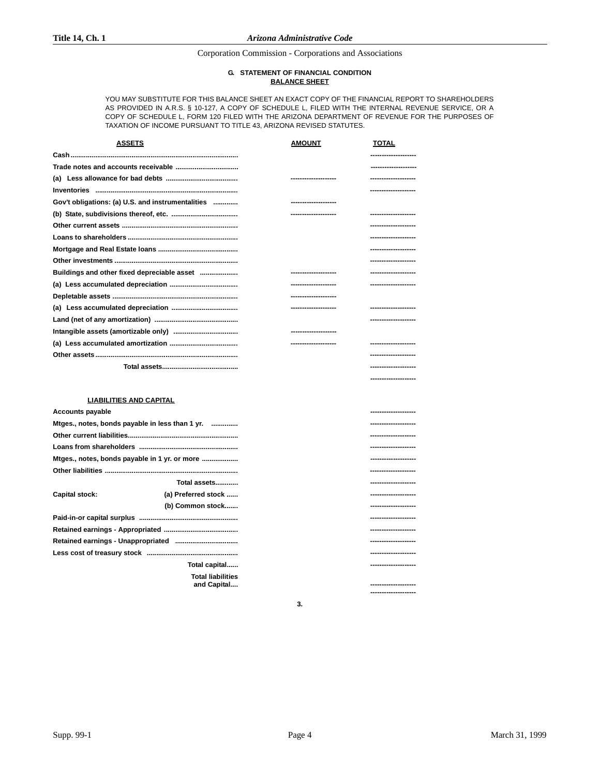#### **G. STATEMENT OF FINANCIAL CONDITION BALANCE SHEET**

YOU MAY SUBSTITUTE FOR THIS BALANCE SHEET AN EXACT COPY OF THE FINANCIAL REPORT TO SHAREHOLDERS AS PROVIDED IN A.R.S. § 10-127, A COPY OF SCHEDULE L, FILED WITH THE INTERNAL REVENUE SERVICE, OR A COPY OF SCHEDULE L, FORM 120 FILED WITH THE ARIZONA DEPARTMENT OF REVENUE FOR THE PURPOSES OF TAXATION OF INCOME PURSUANT TO TITLE 43, ARIZONA REVISED STATUTES.

| <b>ASSETS</b>                                     | <b>AMOUNT</b>      | <b>TOTAL</b>         |
|---------------------------------------------------|--------------------|----------------------|
|                                                   |                    | ----------------     |
|                                                   |                    | -----------------    |
|                                                   |                    | -----------------    |
|                                                   |                    | -----------------    |
| Gov't obligations: (a) U.S. and instrumentalities | ------------------ |                      |
|                                                   | -----------------  |                      |
|                                                   |                    | ------------------   |
|                                                   |                    | --------------       |
|                                                   |                    | -----------------    |
|                                                   |                    |                      |
|                                                   |                    | -----------------    |
|                                                   | -----------------  | -------------        |
|                                                   | ------------------ |                      |
|                                                   |                    | --------------       |
|                                                   |                    | ---------------      |
|                                                   | -----------------  |                      |
|                                                   | -----------------  | --------------       |
|                                                   |                    | -----------------    |
|                                                   |                    | -------------------- |

#### **LIABILITIES AND CAPITAL**

| <b>Accounts payable</b>                 |                                                 | --------------------- |
|-----------------------------------------|-------------------------------------------------|-----------------------|
|                                         | Mtges., notes, bonds payable in less than 1 yr. | --------------------- |
|                                         |                                                 | --------------------  |
|                                         |                                                 | -------------------   |
|                                         | Mtges., notes, bonds payable in 1 yr. or more   | --------------------  |
|                                         |                                                 | --------------------  |
|                                         | Total assets                                    | --------------------  |
| <b>Capital stock:</b>                   | (a) Preferred stock                             | --------------------- |
|                                         | (b) Common stock                                | -------------------   |
|                                         |                                                 | --------------------  |
|                                         |                                                 | --------------------  |
|                                         |                                                 | --------------------  |
|                                         |                                                 | --------------------  |
|                                         | Total capital                                   | --------------------  |
| <b>Total liabilities</b><br>and Capital |                                                 | --------------------  |

**3.**

**--------------------**

**--------------------**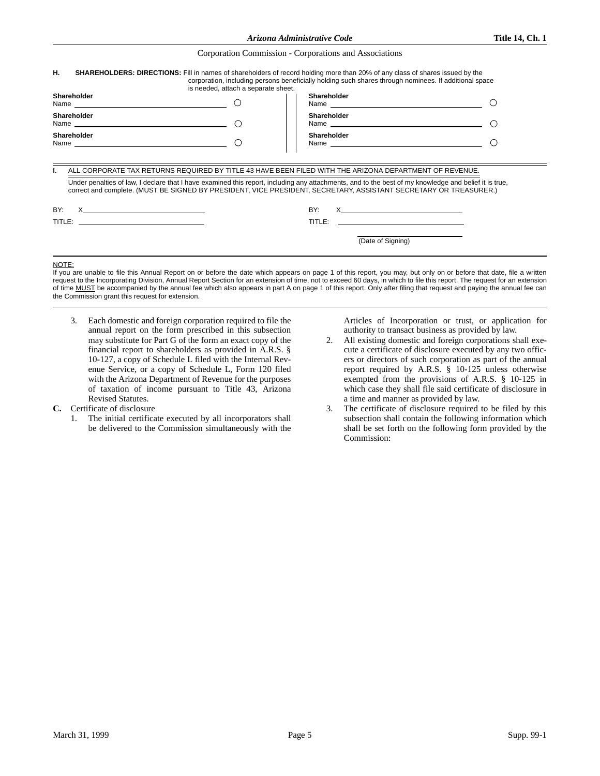| Arizona Administrative Code |  |  |  |
|-----------------------------|--|--|--|
|                             |  |  |  |
|                             |  |  |  |

| Н.                                                                                                                                                                                                                                                                         | is needed, attach a separate sheet.           | <b>SHAREHOLDERS: DIRECTIONS:</b> Fill in names of shareholders of record holding more than 20% of any class of shares issued by the<br>corporation, including persons beneficially holding such shares through nominees. If additional space                                                                                                                                                                                                                                                                                                        |   |  |
|----------------------------------------------------------------------------------------------------------------------------------------------------------------------------------------------------------------------------------------------------------------------------|-----------------------------------------------|-----------------------------------------------------------------------------------------------------------------------------------------------------------------------------------------------------------------------------------------------------------------------------------------------------------------------------------------------------------------------------------------------------------------------------------------------------------------------------------------------------------------------------------------------------|---|--|
| <b>Shareholder</b><br>Name and the contract of the contract of the contract of the contract of the contract of the contract of the contract of the contract of the contract of the contract of the contract of the contract of the contract of the c                       |                                               | Shareholder<br>Name and the contract of the contract of the contract of the contract of the contract of the contract of the contract of the contract of the contract of the contract of the contract of the contract of the contract of the c                                                                                                                                                                                                                                                                                                       |   |  |
| <b>Shareholder</b><br>Name and the contract of the contract of the contract of the contract of the contract of the contract of the contract of the contract of the contract of the contract of the contract of the contract of the contract of the c                       | $\left( \begin{array}{c} \end{array} \right)$ | Shareholder                                                                                                                                                                                                                                                                                                                                                                                                                                                                                                                                         |   |  |
| Shareholder                                                                                                                                                                                                                                                                | $\cap$                                        | Shareholder<br>Name experience and the state of the state of the state of the state of the state of the state of the state of the state of the state of the state of the state of the state of the state of the state of the state of the sta                                                                                                                                                                                                                                                                                                       | ( |  |
| ALL CORPORATE TAX RETURNS REQUIRED BY TITLE 43 HAVE BEEN FILED WITH THE ARIZONA DEPARTMENT OF REVENUE.                                                                                                                                                                     |                                               |                                                                                                                                                                                                                                                                                                                                                                                                                                                                                                                                                     |   |  |
| Under penalties of law, I declare that I have examined this report, including any attachments, and to the best of my knowledge and belief it is true,<br>correct and complete. (MUST BE SIGNED BY PRESIDENT, VICE PRESIDENT, SECRETARY, ASSISTANT SECRETARY OR TREASURER.) |                                               |                                                                                                                                                                                                                                                                                                                                                                                                                                                                                                                                                     |   |  |
| BY:<br><u>x___________________________</u>                                                                                                                                                                                                                                 | BY:                                           | $\mathsf X$ and $\mathsf X$ and $\mathsf X$ are the set of $\mathsf X$ and $\mathsf X$ are the set of $\mathsf X$ and $\mathsf X$ are the set of $\mathsf X$ and $\mathsf X$ are the set of $\mathsf X$ and $\mathsf X$ are the set of $\mathsf X$ and $\mathsf X$ are the set of $\mathsf X$ and<br><u>and the company of the company of the company of the company of the company of the company of the company of the company of the company of the company of the company of the company of the company of the company of the com</u><br>TITLE: |   |  |
|                                                                                                                                                                                                                                                                            |                                               | (Date of Signing)                                                                                                                                                                                                                                                                                                                                                                                                                                                                                                                                   |   |  |

NOTE:

 $\overline{a}$ 

If you are unable to file this Annual Report on or before the date which appears on page 1 of this report, you may, but only on or before that date, file a written request to the Incorporating Division, Annual Report Section for an extension of time, not to exceed 60 days, in which to file this report. The request for an extension of time MUST be accompanied by the annual fee which also appears in part A on page 1 of this report. Only after filing that request and paying the annual fee can the Commission grant this request for extension.

3. Each domestic and foreign corporation required to file the annual report on the form prescribed in this subsection may substitute for Part G of the form an exact copy of the financial report to shareholders as provided in A.R.S. § 10-127, a copy of Schedule L filed with the Internal Revenue Service, or a copy of Schedule L, Form 120 filed with the Arizona Department of Revenue for the purposes of taxation of income pursuant to Title 43, Arizona Revised Statutes.

#### **C.** Certificate of disclosure

1. The initial certificate executed by all incorporators shall be delivered to the Commission simultaneously with the

Articles of Incorporation or trust, or application for authority to transact business as provided by law.

- 2. All existing domestic and foreign corporations shall execute a certificate of disclosure executed by any two officers or directors of such corporation as part of the annual report required by A.R.S. § 10-125 unless otherwise exempted from the provisions of A.R.S. § 10-125 in which case they shall file said certificate of disclosure in a time and manner as provided by law.
- 3. The certificate of disclosure required to be filed by this subsection shall contain the following information which shall be set forth on the following form provided by the Commission: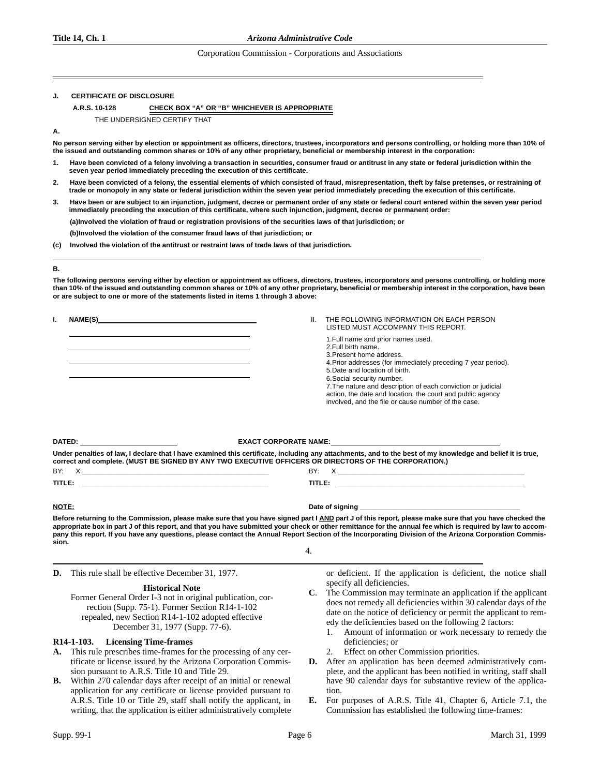#### **Title 14, Ch. 1** *Arizona Administrative Code*

### Corporation Commission - Corporations and Associations

#### **CERTIFICATE OF DISCLOSURE**

#### **A.R.S. 10-128 CHECK BOX "A" OR "B" WHICHEVER IS APPROPRIATE**

THE UNDERSIGNED CERTIFY THAT

#### **A.**

**No person serving either by election or appointment as officers, directors, trustees, incorporators and persons controlling, or holding more than 10% of the issued and outstanding common shares or 10% of any other proprietary, beneficial or membership interest in the corporation:**

- **1. Have been convicted of a felony involving a transaction in securities, consumer fraud or antitrust in any state or federal jurisdiction within the seven year period immediately preceding the execution of this certificate.**
- **2. Have been convicted of a felony, the essential elements of which consisted of fraud, misrepresentation, theft by false pretenses, or restraining of trade or monopoly in any state or federal jurisdiction within the seven year period immediately preceding the execution of this certificate.**
- **3. Have been or are subject to an injunction, judgment, decree or permanent order of any state or federal court entered within the seven year period immediately preceding the execution of this certificate, where such injunction, judgment, decree or permanent order: (a)Involved the violation of fraud or registration provisions of the securities laws of that jurisdiction; or**

**(b)Involved the violation of the consumer fraud laws of that jurisdiction; or**

**(c) Involved the violation of the antitrust or restraint laws of trade laws of that jurisdiction.**

#### **B.**

**The following persons serving either by election or appointment as officers, directors, trustees, incorporators and persons controlling, or holding more than 10% of the issued and outstanding common shares or 10% of any other proprietary, beneficial or membership interest in the corporation, have been or are subject to one or more of the statements listed in items 1 through 3 above:**

**I. NAME(S)** 

 LISTED MUST ACCOMPANY THIS REPORT. 1.Full name and prior names used. 2.Full birth name. 3.Present home address. 4.Prior addresses (for immediately preceding 7 year period). 5.Date and location of birth. 6.Social security number. 7.The nature and description of each conviction or judicial action, the date and location, the court and public agency involved, and the file or cause number of the case. **DATED: EXACT CORPORATE NAME: Under penalties of law, I declare that I have examined this certificate, including any attachments, and to the best of my knowledge and belief it is true, correct and complete. (MUST BE SIGNED BY ANY TWO EXECUTIVE OFFICERS OR DIRECTORS OF THE CORPORATION.)** BY: X **\_\_\_\_\_\_\_\_\_\_\_\_\_\_\_\_\_\_\_\_\_\_\_\_\_\_\_\_\_\_\_\_\_\_\_\_\_\_\_\_\_\_\_\_\_\_\_\_\_** BY: X **\_\_\_\_\_\_\_\_\_\_\_\_\_\_\_\_\_\_\_\_\_\_\_\_\_\_\_\_\_\_\_\_\_\_\_\_\_\_\_\_\_\_\_\_\_\_\_\_\_ TITLE: \_\_\_\_\_\_\_\_\_\_\_\_\_\_\_\_\_\_\_\_\_\_\_\_\_\_\_\_\_\_\_\_\_\_\_\_\_\_\_\_\_\_\_\_\_\_\_\_\_ TITLE: \_\_\_\_\_\_\_\_\_\_\_\_\_\_\_\_\_\_\_\_\_\_\_\_\_\_\_\_\_\_\_\_\_\_\_\_\_\_\_\_\_\_\_\_\_\_\_\_\_**

**NOTE: Date of signing \_\_\_\_\_\_\_\_\_\_\_\_\_\_\_\_\_\_\_\_\_\_\_\_\_\_\_\_\_\_\_\_\_\_\_\_\_\_\_\_\_\_**  Before returning to the Commission, please make sure that you have signed part I AND part J of this report, please make sure that you have checked the appropriate box in part J of this report, and that you have submitted your check or other remittance for the annual fee which is required by law to accom**pany this report. If you have any questions, please contact the Annual Report Section of the Incorporating Division of the Arizona Corporation Commission.**

4.

**D.** This rule shall be effective December 31, 1977.

#### **Historical Note**

Former General Order I-3 not in original publication, correction (Supp. 75-1). Former Section R14-1-102 repealed, new Section R14-1-102 adopted effective December 31, 1977 (Supp. 77-6).

#### **R14-1-103. Licensing Time-frames**

- **A.** This rule prescribes time-frames for the processing of any certificate or license issued by the Arizona Corporation Commission pursuant to A.R.S. Title 10 and Title 29.
- **B.** Within 270 calendar days after receipt of an initial or renewal application for any certificate or license provided pursuant to A.R.S. Title 10 or Title 29, staff shall notify the applicant, in writing, that the application is either administratively complete

or deficient. If the application is deficient, the notice shall specify all deficiencies.

- **C**. The Commission may terminate an application if the applicant does not remedy all deficiencies within 30 calendar days of the date on the notice of deficiency or permit the applicant to remedy the deficiencies based on the following 2 factors:
	- 1. Amount of information or work necessary to remedy the deficiencies; or
	- Effect on other Commission priorities.

II. THE FOLLOWING INFORMATION ON EACH PERSON

- **D.** After an application has been deemed administratively complete, and the applicant has been notified in writing, staff shall have 90 calendar days for substantive review of the application.
- **E.** For purposes of A.R.S. Title 41, Chapter 6, Article 7.1, the Commission has established the following time-frames: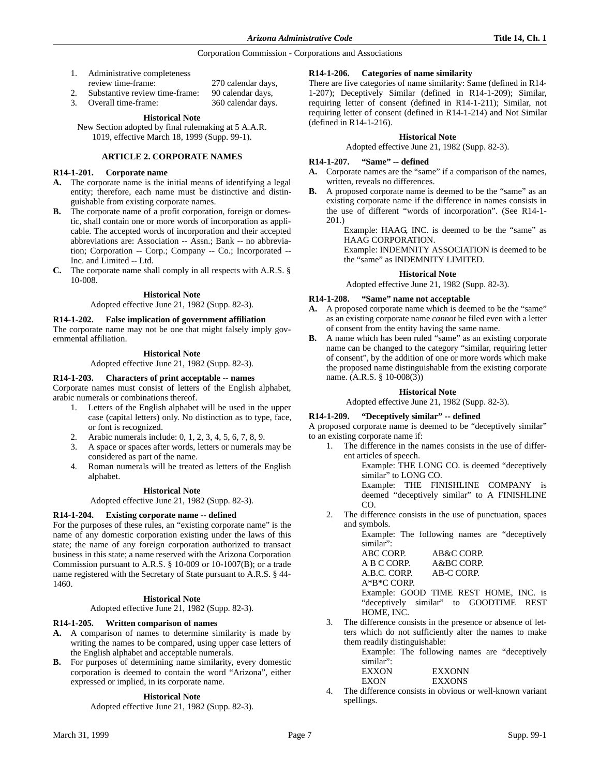| 1. | Administrative completeness    |                    |
|----|--------------------------------|--------------------|
|    | review time-frame:             | 270 calendar days, |
|    | Substantive review time-frame: | 90 calendar days,  |

3. Overall time-frame: 360 calendar days.

#### **Historical Note**

New Section adopted by final rulemaking at 5 A.A.R. 1019, effective March 18, 1999 (Supp. 99-1).

#### **ARTICLE 2. CORPORATE NAMES**

#### **R14-1-201. Corporate name**

- **A.** The corporate name is the initial means of identifying a legal entity; therefore, each name must be distinctive and distinguishable from existing corporate names.
- **B.** The corporate name of a profit corporation, foreign or domestic, shall contain one or more words of incorporation as applicable. The accepted words of incorporation and their accepted abbreviations are: Association -- Assn.; Bank -- no abbreviation; Corporation -- Corp.; Company -- Co.; Incorporated -- Inc. and Limited -- Ltd.
- **C.** The corporate name shall comply in all respects with A.R.S. § 10-008.

#### **Historical Note**

Adopted effective June 21, 1982 (Supp. 82-3).

#### **R14-1-202. False implication of government affiliation**

The corporate name may not be one that might falsely imply governmental affiliation.

#### **Historical Note**

Adopted effective June 21, 1982 (Supp. 82-3).

#### **R14-1-203. Characters of print acceptable -- names**

Corporate names must consist of letters of the English alphabet, arabic numerals or combinations thereof.

- 1. Letters of the English alphabet will be used in the upper case (capital letters) only. No distinction as to type, face, or font is recognized.
- 2. Arabic numerals include: 0, 1, 2, 3, 4, 5, 6, 7, 8, 9.
- 3. A space or spaces after words, letters or numerals may be considered as part of the name.
- 4. Roman numerals will be treated as letters of the English alphabet.

#### **Historical Note**

Adopted effective June 21, 1982 (Supp. 82-3).

#### **R14-1-204. Existing corporate name -- defined**

For the purposes of these rules, an "existing corporate name" is the name of any domestic corporation existing under the laws of this state; the name of any foreign corporation authorized to transact business in this state; a name reserved with the Arizona Corporation Commission pursuant to A.R.S. § 10-009 or 10-1007(B); or a trade name registered with the Secretary of State pursuant to A.R.S. § 44- 1460.

#### **Historical Note**

Adopted effective June 21, 1982 (Supp. 82-3).

#### **R14-1-205. Written comparison of names**

- **A.** A comparison of names to determine similarity is made by writing the names to be compared, using upper case letters of the English alphabet and acceptable numerals.
- **B.** For purposes of determining name similarity, every domestic corporation is deemed to contain the word "Arizona", either expressed or implied, in its corporate name.

#### **Historical Note**

Adopted effective June 21, 1982 (Supp. 82-3).

#### **R14-1-206. Categories of name similarity**

There are five categories of name similarity: Same (defined in R14- 1-207); Deceptively Similar (defined in R14-1-209); Similar, requiring letter of consent (defined in R14-1-211); Similar, not requiring letter of consent (defined in R14-1-214) and Not Similar (defined in R14-1-216).

#### **Historical Note**

Adopted effective June 21, 1982 (Supp. 82-3).

#### **R14-1-207. "Same" -- defined**

- **A.** Corporate names are the "same" if a comparison of the names, written, reveals no differences.
- **B.** A proposed corporate name is deemed to be the "same" as an existing corporate name if the difference in names consists in the use of different "words of incorporation". (See R14-1- 201.)

Example: HAAG, INC. is deemed to be the "same" as HAAG CORPORATION.

Example: INDEMNITY ASSOCIATION is deemed to be the "same" as INDEMNITY LIMITED.

## **Historical Note**

Adopted effective June 21, 1982 (Supp. 82-3).

#### **R14-1-208. "Same" name not acceptable**

- **A.** A proposed corporate name which is deemed to be the "same" as an existing corporate name *cannot* be filed even with a letter of consent from the entity having the same name.
- **B.** A name which has been ruled "same" as an existing corporate name can be changed to the category "similar, requiring letter of consent", by the addition of one or more words which make the proposed name distinguishable from the existing corporate name. (A.R.S. § 10-008(3))

#### **Historical Note**

Adopted effective June 21, 1982 (Supp. 82-3).

#### **R14-1-209. "Deceptively similar" -- defined**

A proposed corporate name is deemed to be "deceptively similar" to an existing corporate name if:

1. The difference in the names consists in the use of different articles of speech.

> Example: THE LONG CO. is deemed "deceptively similar" to LONG CO.

> Example: THE FINISHLINE COMPANY is deemed "deceptively similar" to A FINISHLINE CO.

2. The difference consists in the use of punctuation, spaces and symbols.

Example: The following names are "deceptively similar":

ABC CORP. AB&C CORP. A B C CORP. A&BC CORP.<br>A.B.C. CORP. AB-C CORP. A.B.C. CORP. A\*B\*C CORP. Example: GOOD TIME REST HOME, INC. is

"deceptively similar" to GOODTIME REST HOME, INC.

3. The difference consists in the presence or absence of letters which do not sufficiently alter the names to make them readily distinguishable:

> Example: The following names are "deceptively similar":

| EXXON    | <b>EXXONN</b> |
|----------|---------------|
| EXON     | <b>EXXONS</b> |
| $\cdots$ |               |

The difference consists in obvious or well-known variant spellings.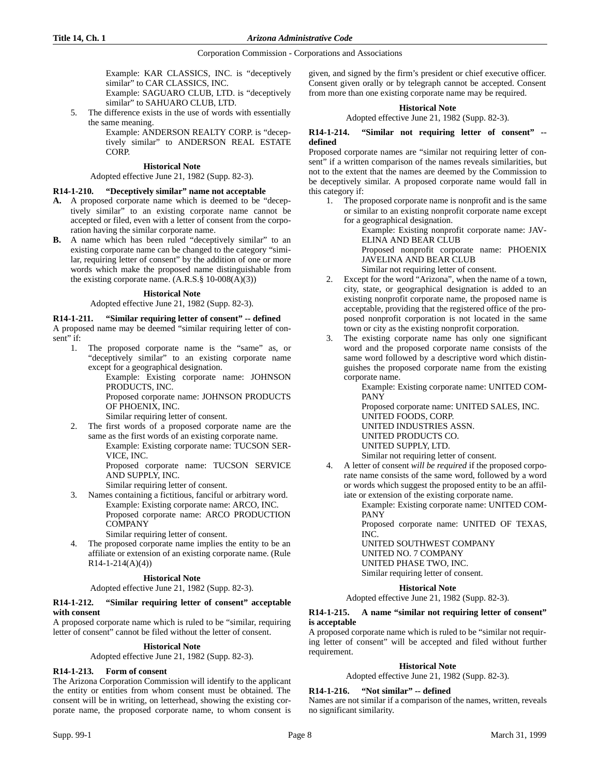Example: KAR CLASSICS, INC. is "deceptively similar" to CAR CLASSICS, INC.

Example: SAGUARO CLUB, LTD. is "deceptively similar" to SAHUARO CLUB, LTD.

5. The difference exists in the use of words with essentially the same meaning.

Example: ANDERSON REALTY CORP. is "deceptively similar" to ANDERSON REAL ESTATE CORP.

#### **Historical Note**

#### Adopted effective June 21, 1982 (Supp. 82-3).

### **R14-1-210. "Deceptively similar" name not acceptable**

- **A.** A proposed corporate name which is deemed to be "deceptively similar" to an existing corporate name cannot be accepted or filed, even with a letter of consent from the corporation having the similar corporate name.
- **B.** A name which has been ruled "deceptively similar" to an existing corporate name can be changed to the category "similar, requiring letter of consent" by the addition of one or more words which make the proposed name distinguishable from the existing corporate name. (A.R.S.§ 10-008(A)(3))

#### **Historical Note**

#### Adopted effective June 21, 1982 (Supp. 82-3).

**R14-1-211. "Similar requiring letter of consent" -- defined** A proposed name may be deemed "similar requiring letter of con-

sent" if:

1. The proposed corporate name is the "same" as, or "deceptively similar" to an existing corporate name except for a geographical designation.

Example: Existing corporate name: JOHNSON PRODUCTS, INC. Proposed corporate name: JOHNSON PRODUCTS

OF PHOENIX, INC.

Similar requiring letter of consent.

2. The first words of a proposed corporate name are the same as the first words of an existing corporate name.

Example: Existing corporate name: TUCSON SER-VICE, INC.

Proposed corporate name: TUCSON SERVICE AND SUPPLY, INC.

Similar requiring letter of consent.

3. Names containing a fictitious, fanciful or arbitrary word. Example: Existing corporate name: ARCO, INC. Proposed corporate name: ARCO PRODUCTION COMPANY

Similar requiring letter of consent.

4. The proposed corporate name implies the entity to be an affiliate or extension of an existing corporate name. (Rule R14-1-214(A)(4))

### **Historical Note**

Adopted effective June 21, 1982 (Supp. 82-3).

#### **R14-1-212. "Similar requiring letter of consent" acceptable with consent**

A proposed corporate name which is ruled to be "similar, requiring letter of consent" cannot be filed without the letter of consent.

# **Historical Note**

Adopted effective June 21, 1982 (Supp. 82-3).

#### **R14-1-213. Form of consent**

The Arizona Corporation Commission will identify to the applicant the entity or entities from whom consent must be obtained. The consent will be in writing, on letterhead, showing the existing corporate name, the proposed corporate name, to whom consent is

given, and signed by the firm's president or chief executive officer. Consent given orally or by telegraph cannot be accepted. Consent from more than one existing corporate name may be required.

#### **Historical Note**

Adopted effective June 21, 1982 (Supp. 82-3).

#### **R14-1-214. "Similar not requiring letter of consent" - defined**

Proposed corporate names are "similar not requiring letter of consent" if a written comparison of the names reveals similarities, but not to the extent that the names are deemed by the Commission to be deceptively similar. A proposed corporate name would fall in this category if:

1. The proposed corporate name is nonprofit and is the same or similar to an existing nonprofit corporate name except for a geographical designation.

> Example: Existing nonprofit corporate name: JAV-ELINA AND BEAR CLUB

Proposed nonprofit corporate name: PHOENIX JAVELINA AND BEAR CLUB

Similar not requiring letter of consent.

- 2. Except for the word "Arizona", when the name of a town, city, state, or geographical designation is added to an existing nonprofit corporate name, the proposed name is acceptable, providing that the registered office of the proposed nonprofit corporation is not located in the same town or city as the existing nonprofit corporation.
- 3. The existing corporate name has only one significant word and the proposed corporate name consists of the same word followed by a descriptive word which distinguishes the proposed corporate name from the existing corporate name.

Example: Existing corporate name: UNITED COM-PANY

Proposed corporate name: UNITED SALES, INC. UNITED FOODS, CORP. UNITED INDUSTRIES ASSN. UNITED PRODUCTS CO. UNITED SUPPLY, LTD. Similar not requiring letter of consent.

4. A letter of consent *will be required* if the proposed corporate name consists of the same word, followed by a word or words which suggest the proposed entity to be an affiliate or extension of the existing corporate name.

> Example: Existing corporate name: UNITED COM-PANY

> Proposed corporate name: UNITED OF TEXAS, INC.

UNITED SOUTHWEST COMPANY

UNITED NO. 7 COMPANY UNITED PHASE TWO, INC.

Similar requiring letter of consent.

#### **Historical Note**

Adopted effective June 21, 1982 (Supp. 82-3).

#### **R14-1-215. A name "similar not requiring letter of consent" is acceptable**

A proposed corporate name which is ruled to be "similar not requiring letter of consent" will be accepted and filed without further requirement.

# **Historical Note**

Adopted effective June 21, 1982 (Supp. 82-3).

## **R14-1-216. "Not similar" -- defined**

Names are not similar if a comparison of the names, written, reveals no significant similarity.